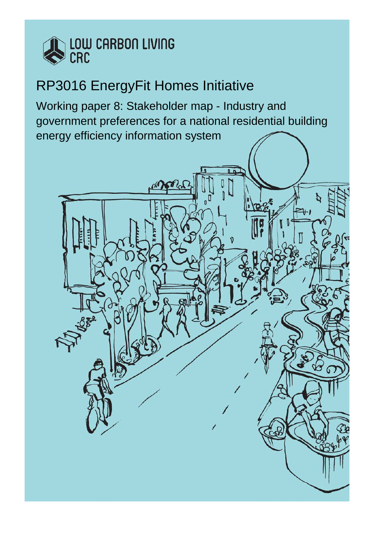

# RP3016 EnergyFit Homes Initiative

Working paper 8: Stakeholder map - Industry and government preferences for a national residential building energy efficiency information system

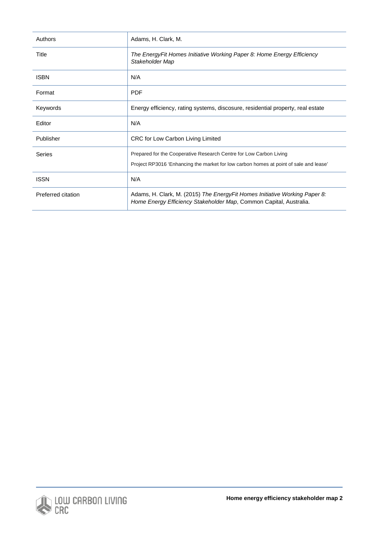| Authors            | Adams, H. Clark, M.                                                                                                                                         |
|--------------------|-------------------------------------------------------------------------------------------------------------------------------------------------------------|
| Title              | The EnergyFit Homes Initiative Working Paper 8: Home Energy Efficiency<br>Stakeholder Map                                                                   |
| <b>ISBN</b>        | N/A                                                                                                                                                         |
| Format             | <b>PDF</b>                                                                                                                                                  |
| Keywords           | Energy efficiency, rating systems, discosure, residential property, real estate                                                                             |
| Editor             | N/A                                                                                                                                                         |
| Publisher          | CRC for Low Carbon Living Limited                                                                                                                           |
| Series             | Prepared for the Cooperative Research Centre for Low Carbon Living<br>Project RP3016 'Enhancing the market for low carbon homes at point of sale and lease' |
| <b>ISSN</b>        | N/A                                                                                                                                                         |
| Preferred citation | Adams, H. Clark, M. (2015) The Energy Fit Homes Initiative Working Paper 8:<br>Home Energy Efficiency Stakeholder Map, Common Capital, Australia.           |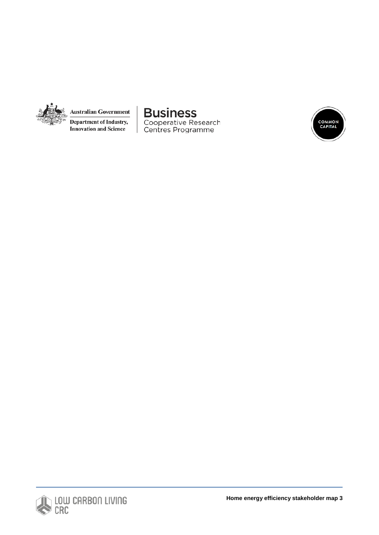

**Australian Government** 

Department of Industry, **Innovation and Science** 





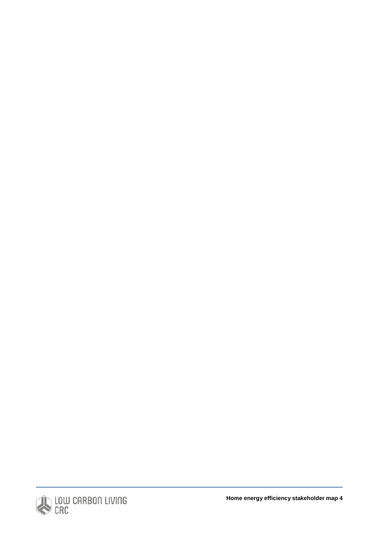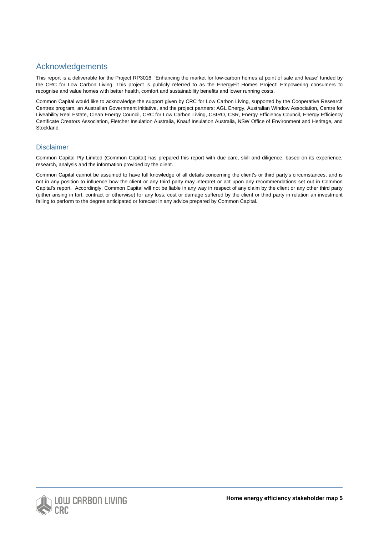# Acknowledgements

This report is a deliverable for the Project RP3016: 'Enhancing the market for low-carbon homes at point of sale and lease' funded by the CRC for Low Carbon Living. This project is publicly referred to as the EnergyFit Homes Project: Empowering consumers to recognise and value homes with better health, comfort and sustainability benefits and lower running costs.

Common Capital would like to acknowledge the support given by CRC for Low Carbon Living, supported by the Cooperative Research Centres program, an Australian Government initiative, and the project partners: AGL Energy, Australian Window Association, Centre for Liveability Real Estate, Clean Energy Council, CRC for Low Carbon Living, CSIRO, CSR, Energy Efficiency Council, Energy Efficiency Certificate Creators Association, Fletcher Insulation Australia, Knauf Insulation Australia, NSW Office of Environment and Heritage, and Stockland.

# Disclaimer

Common Capital Pty Limited (Common Capital) has prepared this report with due care, skill and diligence, based on its experience, research, analysis and the information provided by the client.

Common Capital cannot be assumed to have full knowledge of all details concerning the client's or third party's circumstances, and is not in any position to influence how the client or any third party may interpret or act upon any recommendations set out in Common Capital's report. Accordingly, Common Capital will not be liable in any way in respect of any claim by the client or any other third party (either arising in tort, contract or otherwise) for any loss, cost or damage suffered by the client or third party in relation an investment failing to perform to the degree anticipated or forecast in any advice prepared by Common Capital.

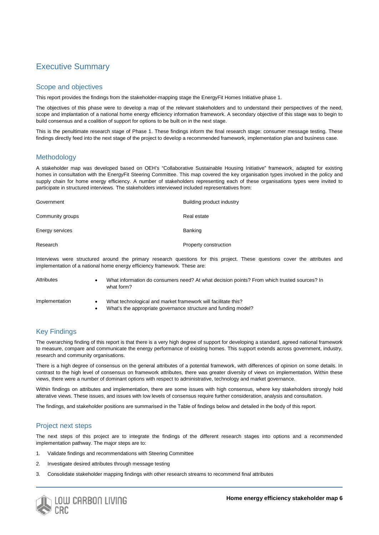# Executive Summary

### Scope and objectives

This report provides the findings from the stakeholder-mapping stage the EnergyFit Homes Initiative phase 1.

The objectives of this phase were to develop a map of the relevant stakeholders and to understand their perspectives of the need, scope and implantation of a national home energy efficiency information framework. A secondary objective of this stage was to begin to build consensus and a coalition of support for options to be built on in the next stage.

This is the penultimate research stage of Phase 1. These findings inform the final research stage: consumer message testing. These findings directly feed into the next stage of the project to develop a recommended framework, implementation plan and business case.

## **Methodology**

A stakeholder map was developed based on OEH's "Collaborative Sustainable Housing Initiative" framework, adapted for existing homes in consultation with the EnergyFit Steering Committee. This map covered the key organisation types involved in the policy and supply chain for home energy efficiency. A number of stakeholders representing each of these organisations types were invited to participate in structured interviews. The stakeholders interviewed included representatives from:

| Government       | Building product industry |
|------------------|---------------------------|
| Community groups | Real estate               |
| Energy services  | Banking                   |
| Research         | Property construction     |

Interviews were structured around the primary research questions for this project. These questions cover the attributes and implementation of a national home energy efficiency framework. These are:

| Attributes     | What information do consumers need? At what decision points? From which trusted sources? In<br>what form?                       |
|----------------|---------------------------------------------------------------------------------------------------------------------------------|
| Implementation | What technological and market framework will facilitate this?<br>What's the appropriate governance structure and funding model? |

# Key Findings

The overarching finding of this report is that there is a very high degree of support for developing a standard, agreed national framework to measure, compare and communicate the energy performance of existing homes. This support extends across government, industry, research and community organisations.

There is a high degree of consensus on the general attributes of a potential framework, with differences of opinion on some details. In contrast to the high level of consensus on framework attributes, there was greater diversity of views on implementation. Within these views, there were a number of dominant options with respect to administrative, technology and market governance.

Within findings on attributes and implementation, there are some issues with high consensus, where key stakeholders strongly hold alterative views. These issues, and issues with low levels of consensus require further consideration, analysis and consultation.

The findings, and stakeholder positions are summarised in the Table of findings below and detailed in the body of this report.

## Project next steps

The next steps of this project are to integrate the findings of the different research stages into options and a recommended implementation pathway. The major steps are to:

- 1. Validate findings and recommendations with Steering Committee
- 2. Investigate desired attributes through message testing
- 3. Consolidate stakeholder mapping findings with other research streams to recommend final attributes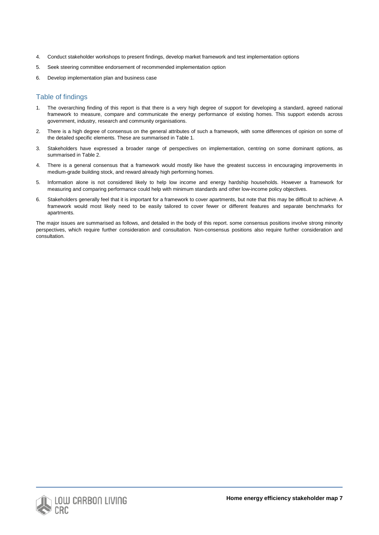- 4. Conduct stakeholder workshops to present findings, develop market framework and test implementation options
- 5. Seek steering committee endorsement of recommended implementation option
- 6. Develop implementation plan and business case

# Table of findings

- 1. The overarching finding of this report is that there is a very high degree of support for developing a standard, agreed national framework to measure, compare and communicate the energy performance of existing homes. This support extends across government, industry, research and community organisations.
- 2. There is a high degree of consensus on the general attributes of such a framework, with some differences of opinion on some of the detailed specific elements. These are summarised in Table 1.
- 3. Stakeholders have expressed a broader range of perspectives on implementation, centring on some dominant options, as summarised in Table 2.
- 4. There is a general consensus that a framework would mostly like have the greatest success in encouraging improvements in medium-grade building stock, and reward already high performing homes.
- 5. Information alone is not considered likely to help low income and energy hardship households. However a framework for measuring and comparing performance could help with minimum standards and other low-income policy objectives.
- 6. Stakeholders generally feel that it is important for a framework to cover apartments, but note that this may be difficult to achieve. A framework would most likely need to be easily tailored to cover fewer or different features and separate benchmarks for apartments.

The major issues are summarised as follows, and detailed in the body of this report. some consensus positions involve strong minority perspectives, which require further consideration and consultation. Non-consensus positions also require further consideration and consultation.

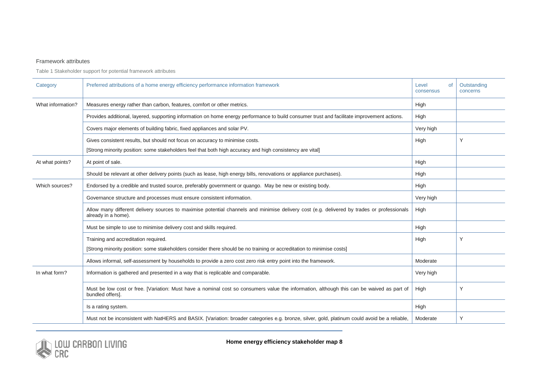### Framework attributes

Table 1 Stakeholder support for potential framework attributes

| Category          | Preferred attributions of a home energy efficiency performance information framework                                                                              | Level<br>consensus | Outstanding<br>concerns |
|-------------------|-------------------------------------------------------------------------------------------------------------------------------------------------------------------|--------------------|-------------------------|
| What information? | Measures energy rather than carbon, features, comfort or other metrics.                                                                                           | High               |                         |
|                   | Provides additional, layered, supporting information on home energy performance to build consumer trust and facilitate improvement actions.                       | High               |                         |
|                   | Covers major elements of building fabric, fixed appliances and solar PV.                                                                                          | Very high          |                         |
|                   | Gives consistent results, but should not focus on accuracy to minimise costs.                                                                                     | High               | Y                       |
|                   | [Strong minority position: some stakeholders feel that both high accuracy and high consistency are vital]                                                         |                    |                         |
| At what points?   | At point of sale.                                                                                                                                                 | High               |                         |
|                   | Should be relevant at other delivery points (such as lease, high energy bills, renovations or appliance purchases).                                               | High               |                         |
| Which sources?    | Endorsed by a credible and trusted source, preferably government or quango. May be new or existing body.                                                          | High               |                         |
|                   | Governance structure and processes must ensure consistent information.                                                                                            | Very high          |                         |
|                   | Allow many different delivery sources to maximise potential channels and minimise delivery cost (e.g. delivered by trades or professionals<br>already in a home). | High               |                         |
|                   | Must be simple to use to minimise delivery cost and skills required.                                                                                              | High               |                         |
|                   | Training and accreditation required.                                                                                                                              | High               | Y                       |
|                   | [Strong minority position: some stakeholders consider there should be no training or accreditation to minimise costs]                                             |                    |                         |
|                   | Allows informal, self-assessment by households to provide a zero cost zero risk entry point into the framework.                                                   | Moderate           |                         |
| In what form?     | Information is gathered and presented in a way that is replicable and comparable.                                                                                 | Very high          |                         |
|                   | Must be low cost or free. [Variation: Must have a nominal cost so consumers value the information, although this can be waived as part of<br>bundled offers].     | High               | Y                       |
|                   | Is a rating system.                                                                                                                                               | High               |                         |
|                   | Must not be inconsistent with NatHERS and BASIX. [Variation: broader categories e.g. bronze, silver, gold, platinum could avoid be a reliable,                    | Moderate           | Y                       |



**Home energy efficiency stakeholder map 8**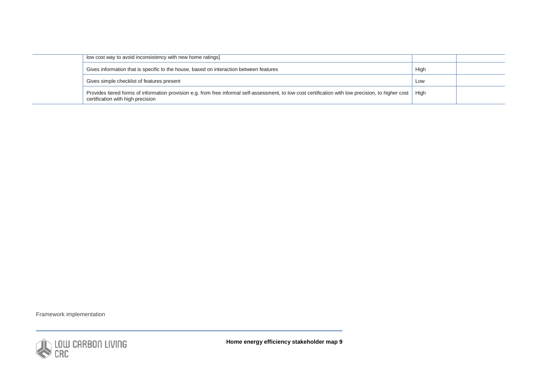| low cost way to avoid inconsistency with new home ratings]                                                                                                                                |      |  |
|-------------------------------------------------------------------------------------------------------------------------------------------------------------------------------------------|------|--|
| Gives information that is specific to the house, based on interaction between features                                                                                                    | High |  |
| Gives simple checklist of features present                                                                                                                                                | Low  |  |
| Provides tiered forms of information provision e.g. from free informal self-assessment, to low cost certification with low precision, to higher cost<br>certification with high precision | High |  |

Framework implementation



**Home energy efficiency stakeholder map 9**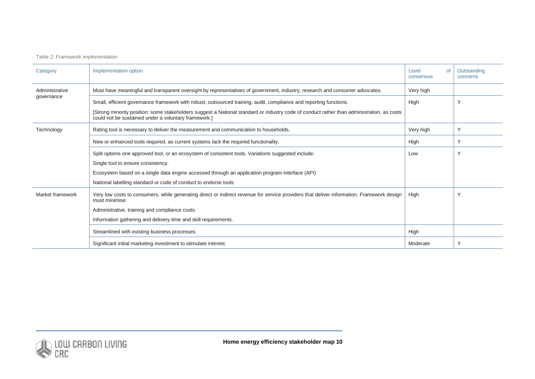|  |  |  | Table 2: Framework implementation |  |
|--|--|--|-----------------------------------|--|
|--|--|--|-----------------------------------|--|

| Category         | Implementation option                                                                                                                                                                             | Level<br>consensus | οf | Outstanding<br>concerns |
|------------------|---------------------------------------------------------------------------------------------------------------------------------------------------------------------------------------------------|--------------------|----|-------------------------|
| Administrative   | Must have meaningful and transparent oversight by representatives of government, industry, research and consumer advocates.                                                                       | Very high          |    |                         |
| governance       | Small, efficient governance framework with robust, outsourced training, audit, compliance and reporting functions.                                                                                | High               |    | Y                       |
|                  | [Strong minority position: some stakeholders suggest a National standard or industry code of conduct rather than administration, as costs<br>could not be sustained under a voluntary framework.] |                    |    |                         |
| Technology       | Rating tool is necessary to deliver the measurement and communication to households.                                                                                                              | Very high          |    | Y                       |
|                  | New or enhanced tools required, as current systems lack the required functionality.                                                                                                               | High               |    | Υ                       |
|                  | Split options one approved tool, or an ecosystem of consistent tools. Variations suggested include:                                                                                               | Low                |    | Y                       |
|                  | Single tool to ensure consistency.                                                                                                                                                                |                    |    |                         |
|                  | Ecosystem based on a single data engine accessed through an application program interface (API)                                                                                                   |                    |    |                         |
|                  | National labelling standard or code of conduct to endorse tools                                                                                                                                   |                    |    |                         |
| Market framework | Very low costs to consumers, while generating direct or indirect revenue for service providers that deliver information. Framework design<br>must minimise:                                       | High               |    | Y                       |
|                  | Administrative, training and compliance costs.                                                                                                                                                    |                    |    |                         |
|                  | Information gathering and delivery time and skill requirements.                                                                                                                                   |                    |    |                         |
|                  | Streamlined with existing business processes.                                                                                                                                                     | High               |    |                         |
|                  | Significant initial marketing investment to stimulate interest.                                                                                                                                   | Moderate           |    | Y                       |

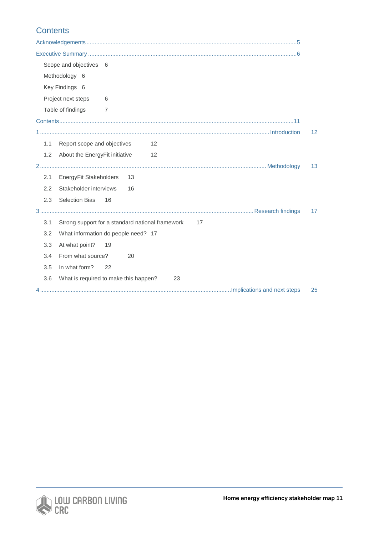# **Contents**

| Scope and objectives 6                                        |                   |
|---------------------------------------------------------------|-------------------|
| Methodology 6                                                 |                   |
| Key Findings 6                                                |                   |
| Project next steps<br>6                                       |                   |
| Table of findings<br>$\overline{7}$                           |                   |
|                                                               |                   |
|                                                               | $12 \overline{ }$ |
| 1.1<br>Report scope and objectives<br>12                      |                   |
| 1.2<br>About the Energy Fit initiative<br>12                  |                   |
|                                                               | 13                |
| EnergyFit Stakeholders<br>2.1<br>13                           |                   |
| 2.2<br>Stakeholder interviews<br>16                           |                   |
| Selection Bias<br>2.3<br>16                                   |                   |
|                                                               | 17                |
| Strong support for a standard national framework<br>3.1<br>17 |                   |
| 3.2<br>What information do people need? 17                    |                   |
| 3.3<br>At what point?<br>19                                   |                   |
| From what source?<br>3.4<br>20                                |                   |
| In what form?<br>3.5<br>22                                    |                   |
| 3.6<br>What is required to make this happen?<br>23            |                   |
|                                                               | 25                |

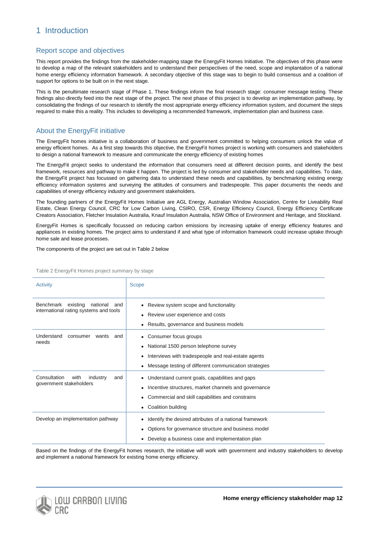# 1 Introduction

# Report scope and objectives

This report provides the findings from the stakeholder-mapping stage the EnergyFit Homes Initiative. The objectives of this phase were to develop a map of the relevant stakeholders and to understand their perspectives of the need, scope and implantation of a national home energy efficiency information framework. A secondary objective of this stage was to begin to build consensus and a coalition of support for options to be built on in the next stage.

This is the penultimate research stage of Phase 1. These findings inform the final research stage: consumer message testing. These findings also directly feed into the next stage of the project. The next phase of this project is to develop an implementation pathway, by consolidating the findings of our research to identify the most appropriate energy efficiency information system, and document the steps required to make this a reality. This includes to developing a recommended framework, implementation plan and business case.

# About the EnergyFit initiative

The EnergyFit homes initiative is a collaboration of business and government committed to helping consumers unlock the value of energy efficient homes. As a first step towards this objective, the EnergyFit homes project is working with consumers and stakeholders to design a national framework to measure and communicate the energy efficiency of existing homes

The EnergyFit project seeks to understand the information that consumers need at different decision points, and identify the best framework, resources and pathway to make it happen. The project is led by consumer and stakeholder needs and capabilities. To date, the EnergyFit project has focussed on gathering data to understand these needs and capabilities, by benchmarking existing energy efficiency information systems and surveying the attitudes of consumers and tradespeople. This paper documents the needs and capabilities of energy efficiency industry and government stakeholders.

The founding partners of the EnergyFit Homes Initiative are AGL Energy, Australian Window Association, Centre for Liveability Real Estate, Clean Energy Council, CRC for Low Carbon Living, CSIRO, CSR, Energy Efficiency Council, Energy Efficiency Certificate Creators Association, Fletcher Insulation Australia, Knauf Insulation Australia, NSW Office of Environment and Heritage, and Stockland.

EnergyFit Homes is specifically focussed on reducing carbon emissions by increasing uptake of energy efficiency features and appliances in existing homes. The project aims to understand if and what type of information framework could increase uptake through home sale and lease processes.

#### The components of the project are set out i[n Table 2](#page-11-0) below

| Activity                                                                           | <b>Scope</b>                                                                                                                                                                                                                          |
|------------------------------------------------------------------------------------|---------------------------------------------------------------------------------------------------------------------------------------------------------------------------------------------------------------------------------------|
| existing<br>Benchmark<br>national<br>and<br>international rating systems and tools | Review system scope and functionality<br>$\bullet$<br>Review user experience and costs<br>$\bullet$<br>Results, governance and business models<br>$\bullet$                                                                           |
| Understand<br>consumer<br>wants<br>and<br>needs                                    | Consumer focus groups<br>$\bullet$<br>National 1500 person telephone survey<br>$\bullet$<br>Interviews with tradespeople and real-estate agents<br>$\bullet$<br>Message testing of different communication strategies<br>$\bullet$    |
| Consultation<br>with<br>industry<br>and<br>government stakeholders                 | Understand current goals, capabilities and gaps<br>$\bullet$<br>Incentive structures, market channels and governance<br>$\bullet$<br>Commercial and skill capabilities and constrains<br>$\bullet$<br>Coalition building<br>$\bullet$ |
| Develop an implementation pathway                                                  | Identify the desired attributes of a national framework<br>$\bullet$<br>Options for governance structure and business model<br>$\bullet$<br>Develop a business case and implementation plan<br>$\bullet$                              |

#### <span id="page-11-0"></span>Table 2 EnergyFit Homes project summary by stage

Based on the findings of the EnergyFit homes research, the initiative will work with government and industry stakeholders to develop and implement a national framework for existing home energy efficiency.

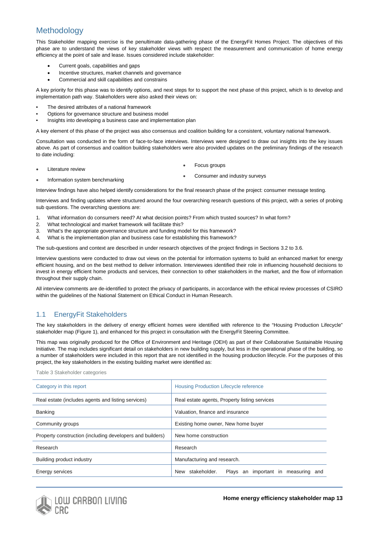# Methodology

This Stakeholder mapping exercise is the penultimate data-gathering phase of the EnergyFit Homes Project. The objectives of this phase are to understand the views of key stakeholder views with respect the measurement and communication of home energy efficiency at the point of sale and lease. Issues considered include stakeholder:

- Current goals, capabilities and gaps
- Incentive structures, market channels and governance
- Commercial and skill capabilities and constrains

A key priority for this phase was to identify options, and next steps for to support the next phase of this project, which is to develop and implementation path way. Stakeholders were also asked their views on:

- The desired attributes of a national framework
- Options for governance structure and business model
- Insights into developing a business case and implementation plan

A key element of this phase of the project was also consensus and coalition building for a consistent, voluntary national framework.

Consultation was conducted in the form of face-to-face interviews. Interviews were designed to draw out insights into the key issues above. As part of consensus and coalition building stakeholders were also provided updates on the preliminary findings of the research to date including:

- 
- Literature review Focus groups
- Information system benchmarking Consumer and industry surveys

Interview findings have also helped identify considerations for the final research phase of the project: consumer message testing.

Interviews and finding updates where structured around the four overarching research questions of this project, with a series of probing sub questions. The overarching questions are:

- 1. What information do consumers need? At what decision points? From which trusted sources? In what form?
- 2. What technological and market framework will facilitate this?
- 3. What's the appropriate governance structure and funding model for this framework?
- 4. What is the implementation plan and business case for establishing this framework?

The sub-questions and context are described in under research objectives of the project findings in Sections [3.2](#page-16-0) t[o 3.6.](#page-22-0)

Interview questions were conducted to draw out views on the potential for information systems to build an enhanced market for energy efficient housing, and on the best method to deliver information. Interviewees identified their role in influencing household decisions to invest in energy efficient home products and services, their connection to other stakeholders in the market, and the flow of information throughout their supply chain.

All interview comments are de-identified to protect the privacy of participants, in accordance with the ethical review processes of CSIRO within the guidelines of the National Statement on Ethical Conduct in Human Research.

# 1.1 EnergyFit Stakeholders

The key stakeholders in the delivery of energy efficient homes were identified with reference to the "Housing Production Lifecycle" stakeholder map [\(Figure 1\)](#page-14-0), and enhanced for this project in consultation with the EnergyFit Steering Committee.

This map was originally produced for the Office of Environment and Heritage (OEH) as part of their Collaborative Sustainable Housing Initiative. The map includes significant detail on stakeholders in new building supply, but less in the operational phase of the building, so a number of stakeholders were included in this report that are not identified in the housing production lifecycle. For the purposes of this project, the key stakeholders in the existing building market were identified as:

Table 3 Stakeholder categories

| Category in this report                                   | <b>Housing Production Lifecycle reference</b>              |
|-----------------------------------------------------------|------------------------------------------------------------|
| Real estate (includes agents and listing services)        | Real estate agents, Property listing services              |
| Banking                                                   | Valuation, finance and insurance                           |
| Community groups                                          | Existing home owner, New home buyer                        |
| Property construction (including developers and builders) | New home construction                                      |
| Research                                                  | Research                                                   |
| Building product industry                                 | Manufacturing and research.                                |
| Energy services                                           | stakeholder.<br>Plays an important in measuring and<br>New |

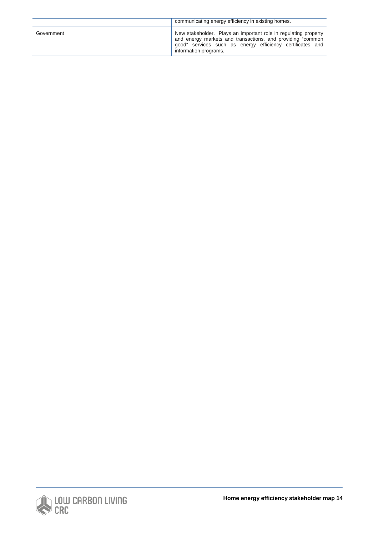|            | communicating energy efficiency in existing homes.                                                                                                                                                                  |
|------------|---------------------------------------------------------------------------------------------------------------------------------------------------------------------------------------------------------------------|
| Government | New stakeholder. Plays an important role in regulating property<br>and energy markets and transactions, and providing "common<br>good" services such as energy efficiency certificates and<br>information programs. |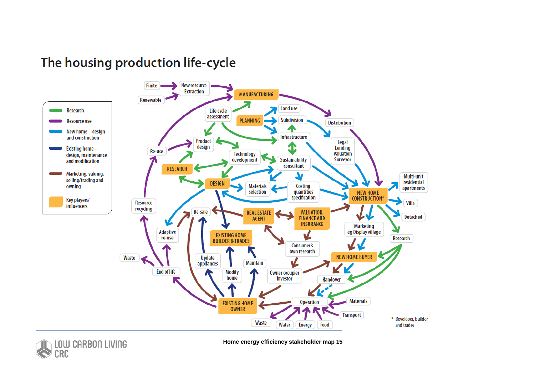# The housing production life-cycle



<span id="page-14-0"></span>

**Home energy efficiency stakeholder map 15**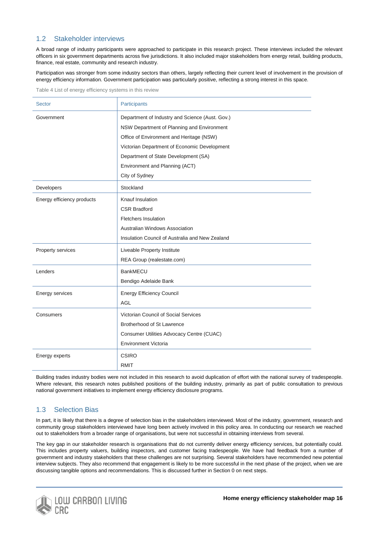# 1.2 Stakeholder interviews

A broad range of industry participants were approached to participate in this research project. These interviews included the relevant officers in six government departments across five jurisdictions. It also included major stakeholders from energy retail, building products, finance, real estate, community and research industry.

Participation was stronger from some industry sectors than others, largely reflecting their current level of involvement in the provision of energy efficiency information. Government participation was particularly positive, reflecting a strong interest in this space.

| Sector                     | Participants                                                                                                                                                                                                                                                                          |
|----------------------------|---------------------------------------------------------------------------------------------------------------------------------------------------------------------------------------------------------------------------------------------------------------------------------------|
| Government                 | Department of Industry and Science (Aust. Gov.)<br>NSW Department of Planning and Environment<br>Office of Environment and Heritage (NSW)<br>Victorian Department of Economic Development<br>Department of State Development (SA)<br>Environment and Planning (ACT)<br>City of Sydney |
| Developers                 | Stockland                                                                                                                                                                                                                                                                             |
| Energy efficiency products | Knauf Insulation<br><b>CSR Bradford</b><br><b>Fletchers Insulation</b><br>Australian Windows Association<br>Insulation Council of Australia and New Zealand                                                                                                                           |
| Property services          | Liveable Property Institute<br>REA Group (realestate.com)                                                                                                                                                                                                                             |
| Lenders                    | <b>BankMECU</b><br>Bendigo Adelaide Bank                                                                                                                                                                                                                                              |
| Energy services            | <b>Energy Efficiency Council</b><br>AGL                                                                                                                                                                                                                                               |
| Consumers                  | Victorian Council of Social Services<br>Brotherhood of St Lawrence<br>Consumer Utilities Advocacy Centre (CUAC)<br><b>Environment Victoria</b>                                                                                                                                        |
| Energy experts             | CSIRO<br><b>RMIT</b>                                                                                                                                                                                                                                                                  |

Table 4 List of energy efficiency systems in this review

Building trades industry bodies were not included in this research to avoid duplication of effort with the national survey of tradespeople. Where relevant, this research notes published positions of the building industry, primarily as part of public consultation to previous national government initiatives to implement energy efficiency disclosure programs.

## 1.3 Selection Bias

In part, it is likely that there is a degree of selection bias in the stakeholders interviewed. Most of the industry, government, research and community group stakeholders interviewed have long been actively involved in this policy area. In conducting our research we reached out to stakeholders from a broader range of organisations, but were not successful in obtaining interviews from several.

The key gap in our stakeholder research is organisations that do not currently deliver energy efficiency services, but potentially could. This includes property valuers, building inspectors, and customer facing tradespeople. We have had feedback from a number of government and industry stakeholders that these challenges are not surprising. Several stakeholders have recommended new potential interview subjects. They also recommend that engagement is likely to be more successful in the next phase of the project, when we are discussing tangible options and recommendations. This is discussed further in Section [0](#page-24-0) on next steps.

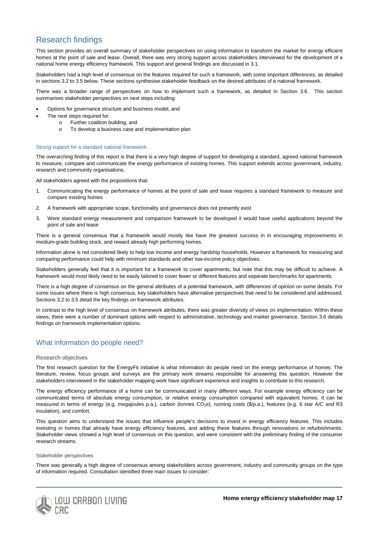# Research findings

This section provides an overall summary of stakeholder perspectives on using information to transform the market for energy efficient homes at the point of sale and lease. Overall, there was very strong support across stakeholders interviewed for the development of a national home energy efficiency framework. This support and general findings are discussed in [3.1.](#page-16-1)

Stakeholders had a high level of consensus on the features required for such a framework, with some important differences, as detailed in section[s 3.2](#page-16-0) to [3.5](#page-21-0) below. These sections synthesise stakeholder feedback on the desired attributes of a national framework.

There was a broader range of perspectives on how to implement such a framework, as detailed in Section [3.6.](#page-22-0) This section summarises stakeholder perspectives on next steps including:

- Options for governance structure and business model, and
- The next steps required for:
	- o Further coalition building, and
	- o To develop a business case and implementation plan

#### <span id="page-16-1"></span>Strong support for a standard national framework

The overarching finding of this report is that there is a very high degree of support for developing a standard, agreed national framework to measure, compare and communicate the energy performance of existing homes. This support extends across government, industry, research and community organisations.

All stakeholders agreed with the propositions that:

- 1. Communicating the energy performance of homes at the point of sale and lease requires a standard framework to measure and compare existing homes
- 2. A framework with appropriate scope, functionality and governance does not presently exist
- 3. Were standard energy measurement and comparison framework to be developed it would have useful applications beyond the point of sale and lease

There is a general consensus that a framework would mostly like have the greatest success in in encouraging improvements in medium-grade building stock, and reward already high performing homes.

Information alone is not considered likely to help low income and energy hardship households. However a framework for measuring and comparing performance could help with minimum standards and other low-income policy objectives.

Stakeholders generally feel that it is important for a framework to cover apartments, but note that this may be difficult to achieve. A framework would most likely need to be easily tailored to cover fewer or different features and separate benchmarks for apartments.

There is a high degree of consensus on the general attributes of a potential framework, with differences of opinion on some details. For some issues where there is high consensus, key stakeholders have alternative perspectives that need to be considered and addressed. Section[s 3.2](#page-16-0) to [3.5](#page-21-0) detail the key findings on framework attributes.

In contrast to the high level of consensus on framework attributes, there was greater diversity of views on implementation. Within these views, there were a number of dominant options with respect to administrative, technology and market governance. Section [3.6](#page-22-0) details findings on framework implementation options.

## <span id="page-16-0"></span>What information do people need?

#### Research objectives

The first research question for the EnergyFit initiative is what information do people need on the energy performance of homes. The literature, review, focus groups and surveys are the primary work streams responsible for answering this question. However the stakeholders interviewed in the stakeholder mapping work have significant experience and insights to contribute to this research.

The energy efficiency performance of a home can be communicated in many different ways. For example energy efficiency can be communicated terms of absolute energy consumption, or relative energy consumption compared with equivalent homes. It can be measured in terms of energy (e.g. megajoules p.a.), carbon (tonnes CO<sub>2</sub>e), running costs (\$/p.a.), features (e.g. 6 star A/C and R3 insulation), and comfort.

This question aims to understand the issues that influence people's decisions to invest in energy efficiency features. This includes investing in homes that already have energy efficiency features, and adding these features through renovations or refurbishments. Stakeholder views showed a high level of consensus on this question, and were consistent with the preliminary finding of the consumer research streams.

#### Stakeholder perspectives

There was generally a high degree of consensus among stakeholders across government, industry and community groups on the type of information required. Consultation identified three main issues to consider:

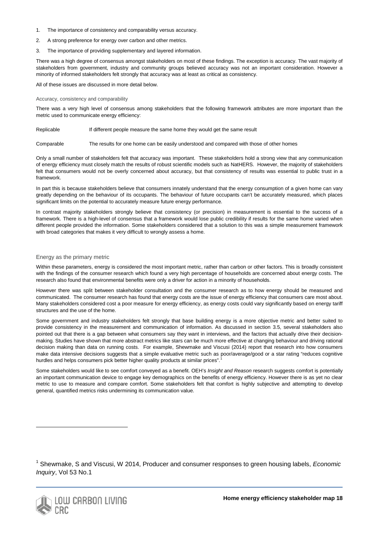- 1. The importance of consistency and comparability versus accuracy.
- 2. A strong preference for energy over carbon and other metrics.
- 3. The importance of providing supplementary and layered information.

There was a high degree of consensus amongst stakeholders on most of these findings. The exception is accuracy. The vast majority of stakeholders from government, industry and community groups believed accuracy was not an important consideration. However a minority of informed stakeholders felt strongly that accuracy was at least as critical as consistency.

All of these issues are discussed in more detail below.

#### Accuracy, consistency and comparability

There was a very high level of consensus among stakeholders that the following framework attributes are more important than the metric used to communicate energy efficiency:

Replicable If different people measure the same home they would get the same result

Comparable The results for one home can be easily understood and compared with those of other homes

Only a small number of stakeholders felt that accuracy was important. These stakeholders hold a strong view that any communication of energy efficiency must closely match the results of robust scientific models such as NatHERS. However, the majority of stakeholders felt that consumers would not be overly concerned about accuracy, but that consistency of results was essential to public trust in a framework.

In part this is because stakeholders believe that consumers innately understand that the energy consumption of a given home can vary greatly depending on the behaviour of its occupants. The behaviour of future occupants can't be accurately measured, which places significant limits on the potential to accurately measure future energy performance.

In contrast majority stakeholders strongly believe that consistency (or precision) in measurement is essential to the success of a framework. There is a high-level of consensus that a framework would lose public credibility if results for the same home varied when different people provided the information. Some stakeholders considered that a solution to this was a simple measurement framework with broad categories that makes it very difficult to wrongly assess a home.

#### Energy as the primary metric

Within these parameters, energy is considered the most important metric, rather than carbon or other factors. This is broadly consistent with the findings of the consumer research which found a very high percentage of households are concerned about energy costs. The research also found that environmental benefits were only a driver for action in a minority of households.

However there was split between stakeholder consultation and the consumer research as to how energy should be measured and communicated. The consumer research has found that energy costs are the issue of energy efficiency that consumers care most about. Many stakeholders considered cost a poor measure for energy efficiency, as energy costs could vary significantly based on energy tariff structures and the use of the home.

Some government and industry stakeholders felt strongly that base building energy is a more objective metric and better suited to provide consistency in the measurement and communication of information. As discussed in section [3.5,](#page-21-0) several stakeholders also pointed out that there is a gap between what consumers say they want in interviews, and the factors that actually drive their decisionmaking. Studies have shown that more abstract metrics like stars can be much more effective at changing behaviour and driving rational decision making than data on running costs. For example, Shewmake and Viscusi (2014) report that research into how consumers make data intensive decisions suggests that a simple evaluative metric such as poor/average/good or a star rating "reduces cognitive hurdles and helps consumers pick better higher quality products at similar prices".

Some stakeholders would like to see comfort conveyed as a benefit. OEH's *Insight and Reason* research suggests comfort is potentially an important communication device to engage key demographics on the benefits of energy efficiency. However there is as yet no clear metric to use to measure and compare comfort. Some stakeholders felt that comfort is highly subjective and attempting to develop general, quantified metrics risks undermining its communication value.

<span id="page-17-0"></span><sup>1</sup> Shewmake, S and Viscusi, W 2014, Producer and consumer responses to green housing labels, *Economic Inquiry*, Vol 53 No.1



j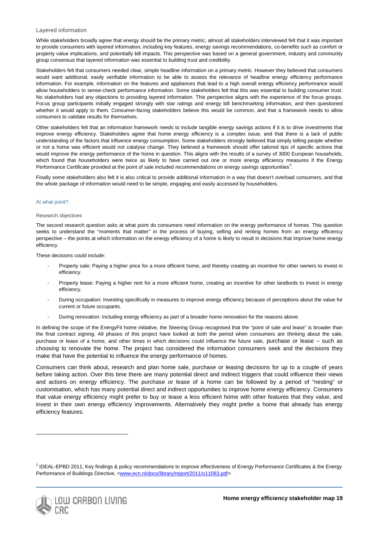#### Layered information

While stakeholders broadly agree that energy should be the primary metric, almost all stakeholders interviewed felt that it was important to provide consumers with layered information, including key features, energy savings recommendations, co-benefits such as comfort or property value implications, and potentially bill impacts. This perspective was based on a general government, industry and community group consensus that layered information was essential to building trust and credibility.

Stakeholders felt that consumers needed clear, simple headline information on a primary metric. However they believed that consumers would want additional, easily verifiable information to be able to assess the relevance of headline energy efficiency performance information. For example, information on the features and appliances that lead to a high overall energy efficiency performance would allow householders to sense-check performance information. Some stakeholders felt that this was essential to building consumer trust. No stakeholders had any objections to providing layered information. This perspective aligns with the experience of the focus groups. Focus group participants initially engaged strongly with star ratings and energy bill benchmarking information, and then questioned whether it would apply to them. Consumer-facing stakeholders believe this would be common, and that a framework needs to allow consumers to validate results for themselves.

Other stakeholders felt that an information framework needs to include tangible energy savings actions if it is to drive investments that improve energy efficiency. Stakeholders agree that home energy efficiency is a complex issue, and that there is a lack of public understanding of the factors that influence energy consumption. Some stakeholders strongly believed that simply telling people whether or not a home was efficient would not catalyse change. They believed a framework should offer tailored tips of specific actions that would improve the energy performance of the home in question. This aligns with the results of a survey of 3000 European households, which found that householders were twice as likely to have carried out one or more energy efficiency measures if the Energy Performance Certificate provided at the point of sale included recommendations on energy savings opportunities<sup>[2](#page-18-0)</sup>.

Finally some stakeholders also felt it is also critical to provide additional information in a way that doesn't overload consumers, and that the whole package of information would need to be simple, engaging and easily accessed by householders.

#### At what point?

#### Research objectives

The second research question asks at what point do consumers need information on the energy performance of homes. This question seeks to understand the "moments that matter" in the process of buying, selling and renting homes from an energy efficiency perspective – the points at which information on the energy efficiency of a home is likely to result in decisions that improve home energy efficiency.

These decisions could include:

- Property sale: Paying a higher price for a more efficient home, and thereby creating an incentive for other owners to invest in efficiency.
- Property lease: Paying a higher rent for a more efficient home, creating an incentive for other landlords to invest in energy efficiency.
- During occupation: Investing specifically in measures to improve energy efficiency because of perceptions about the value for current or future occupants.
- During renovation: Including energy efficiency as part of a broader home renovation for the reasons above.

In defining the scope of the EnergyFit home initiative, the Steering Group recognised that the "point of sale and lease" is broader than the final contract signing. All phases of this project have looked at both the period when consumers are thinking about the sale, purchase or lease of a home, and other times in which decisions could influence the future sale, purchase or lease – such as choosing to renovate the home. The project has considered the information consumers seek and the decisions they make that have the potential to influence the energy performance of homes.

Consumers can think about, research and plan home sale, purchase or leasing decisions for up to a couple of years before taking action. Over this time there are many potential direct and indirect triggers that could influence their views and actions on energy efficiency. The purchase or lease of a home can be followed by a period of "nesting" or customisation, which has many potential direct and indirect opportunities to improve home energy efficiency. Consumers that value energy efficiency might prefer to buy or lease a less efficient home with other features that they value, and invest in their own energy efficiency improvements. Alternatively they might prefer a home that already has energy efficiency features.

<span id="page-18-0"></span><sup>&</sup>lt;sup>2</sup> IDEAL-EPBD 2011, Key findings & policy recommendations to improve effectiveness of Energy Performance Certificates & the Energy Performance of Buildings Directive, [<www.ecn.nl/docs/library/report/2011/o11083.pdf>](http://www.ecn.nl/docs/library/report/2011/o11083.pdf)



j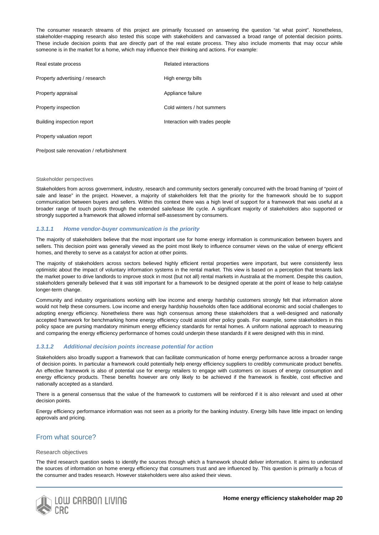The consumer research streams of this project are primarily focussed on answering the question "at what point". Nonetheless, stakeholder-mapping research also tested this scope with stakeholders and canvassed a broad range of potential decision points. These include decision points that are directly part of the real estate process. They also include moments that may occur while someone is in the market for a home, which may influence their thinking and actions. For example:

| Real estate process             | <b>Related interactions</b>    |
|---------------------------------|--------------------------------|
| Property advertising / research | High energy bills              |
| Property appraisal              | Appliance failure              |
| Property inspection             | Cold winters / hot summers     |
| Building inspection report      | Interaction with trades people |
| Property valuation report       |                                |

Pre/post sale renovation / refurbishment

#### Stakeholder perspectives

Stakeholders from across government, industry, research and community sectors generally concurred with the broad framing of "point of sale and lease" in the project. However, a majority of stakeholders felt that the priority for the framework should be to support communication between buyers and sellers. Within this context there was a high level of support for a framework that was useful at a broader range of touch points through the extended sale/lease life cycle. A significant majority of stakeholders also supported or strongly supported a framework that allowed informal self-assessment by consumers.

#### *1.3.1.1 Home vendor-buyer communication is the priority*

The majority of stakeholders believe that the most important use for home energy information is communication between buyers and sellers. This decision point was generally viewed as the point most likely to influence consumer views on the value of energy efficient homes, and thereby to serve as a catalyst for action at other points.

The majority of stakeholders across sectors believed highly efficient rental properties were important, but were consistently less optimistic about the impact of voluntary information systems in the rental market. This view is based on a perception that tenants lack the market power to drive landlords to improve stock in most (but not all) rental markets in Australia at the moment. Despite this caution, stakeholders generally believed that it was still important for a framework to be designed operate at the point of lease to help catalyse longer-term change.

Community and industry organisations working with low income and energy hardship customers strongly felt that information alone would not help these consumers. Low income and energy hardship households often face additional economic and social challenges to adopting energy efficiency. Nonetheless there was high consensus among these stakeholders that a well-designed and nationally accepted framework for benchmarking home energy efficiency could assist other policy goals. For example, some stakeholders in this policy space are pursing mandatory minimum energy efficiency standards for rental homes. A uniform national approach to measuring and comparing the energy efficiency performance of homes could underpin these standards if it were designed with this in mind.

#### *1.3.1.2 Additional decision points increase potential for action*

Stakeholders also broadly support a framework that can facilitate communication of home energy performance across a broader range of decision points. In particular a framework could potentially help energy efficiency suppliers to credibly communicate product benefits. An effective framework is also of potential use for energy retailers to engage with customers on issues of energy consumption and energy efficiency products. These benefits however are only likely to be achieved if the framework is flexible, cost effective and nationally accepted as a standard.

There is a general consensus that the value of the framework to customers will be reinforced if it is also relevant and used at other decision points.

Energy efficiency performance information was not seen as a priority for the banking industry. Energy bills have little impact on lending approvals and pricing.

### From what source?

#### Research objectives

The third research question seeks to identify the sources through which a framework should deliver information. It aims to understand the sources of information on home energy efficiency that consumers trust and are influenced by. This question is primarily a focus of the consumer and trades research. However stakeholders were also asked their views.

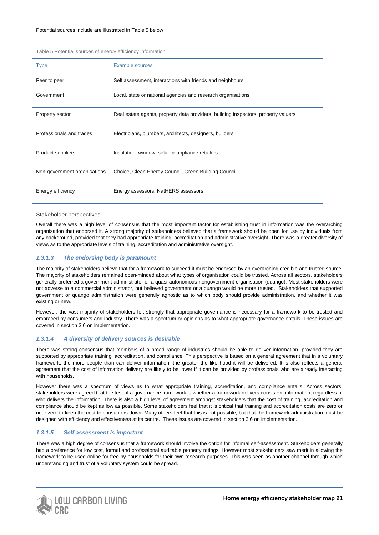<span id="page-20-0"></span>

| Table 5 Potential sources of energy efficiency information |  |  |  |
|------------------------------------------------------------|--|--|--|
|------------------------------------------------------------|--|--|--|

| <b>Type</b>                  | <b>Example sources</b>                                                             |
|------------------------------|------------------------------------------------------------------------------------|
| Peer to peer                 | Self assessment, interactions with friends and neighbours                          |
| Government                   | Local, state or national agencies and research organisations                       |
| Property sector              | Real estate agents, property data providers, building inspectors, property valuers |
| Professionals and trades     | Electricians, plumbers, architects, designers, builders                            |
| Product suppliers            | Insulation, window, solar or appliance retailers                                   |
| Non-government organisations | Choice, Clean Energy Council, Green Building Council                               |
| Energy efficiency            | Energy assessors, NatHERS assessors                                                |

#### Stakeholder perspectives

Overall there was a high level of consensus that the most important factor for establishing trust in information was the overarching organisation that endorsed it. A strong majority of stakeholders believed that a framework should be open for use by individuals from any background, provided that they had appropriate training, accreditation and administrative oversight. There was a greater diversity of views as to the appropriate levels of training, accreditation and administrative oversight.

#### *1.3.1.3 The endorsing body is paramount*

The majority of stakeholders believe that for a framework to succeed it must be endorsed by an overarching credible and trusted source. The majority of stakeholders remained open-minded about what types of organisation could be trusted. Across all sectors, stakeholders generally preferred a government administrator or a quasi-autonomous nongovernment organisation (quango). Most stakeholders were not adverse to a commercial administrator, but believed government or a quango would be more trusted. Stakeholders that supported government or quango administration were generally agnostic as to which body should provide administration, and whether it was existing or new.

However, the vast majority of stakeholders felt strongly that appropriate governance is necessary for a framework to be trusted and embraced by consumers and industry. There was a spectrum or opinions as to what appropriate governance entails. These issues are covered in sectio[n 3.6](#page-22-0) on implementation.

#### *1.3.1.4 A diversity of delivery sources is desirable*

There was strong consensus that members of a broad range of industries should be able to deliver information, provided they are supported by appropriate training, accreditation, and compliance. This perspective is based on a general agreement that in a voluntary framework, the more people than can deliver information, the greater the likelihood it will be delivered. It is also reflects a general agreement that the cost of information delivery are likely to be lower if it can be provided by professionals who are already interacting with households.

However there was a spectrum of views as to what appropriate training, accreditation, and compliance entails. Across sectors, stakeholders were agreed that the test of a governance framework is whether a framework delivers consistent information, regardless of who delivers the information. There is also a high level of agreement amongst stakeholders that the cost of training, accreditation and compliance should be kept as low as possible. Some stakeholders feel that it is critical that training and accreditation costs are zero or near zero to keep the cost to consumers down. Many others feel that this is not possible, but that the framework administration must be designed with efficiency and effectiveness at its centre. These issues are covered in section [3.6](#page-22-0) on implementation.

#### *1.3.1.5 Self assessment is important*

There was a high degree of consensus that a framework should involve the option for informal self-assessment. Stakeholders generally had a preference for low cost, formal and professional auditable property ratings. However most stakeholders saw merit in allowing the framework to be used online for free by households for their own research purposes. This was seen as another channel through which understanding and trust of a voluntary system could be spread.

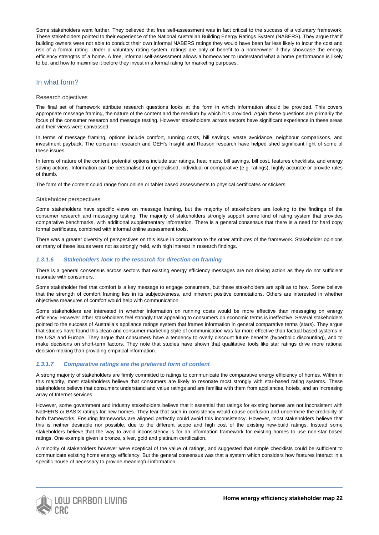Some stakeholders went further. They believed that free self-assessment was in fact critical to the success of a voluntary framework. These stakeholders pointed to their experience of the National Australian Building Energy Ratings System (NABERS). They argue that if building owners were not able to conduct their own informal NABERS ratings they would have been far less likely to incur the cost and risk of a formal rating. Under a voluntary rating system, ratings are only of benefit to a homeowner if they showcase the energy efficiency strengths of a home. A free, informal self-assessment allows a homeowner to understand what a home performance is likely to be, and how to maximise it before they invest in a formal rating for marketing purposes.

### <span id="page-21-0"></span>In what form?

#### Research objectives

The final set of framework attribute research questions looks at the form in which information should be provided. This covers appropriate message framing, the nature of the content and the medium by which it is provided. Again these questions are primarily the focus of the consumer research and message testing. However stakeholders across sectors have significant experience in these areas and their views were canvassed.

In terms of message framing, options include comfort, running costs, bill savings, waste avoidance, neighbour comparisons, and investment payback. The consumer research and OEH's Insight and Reason research have helped shed significant light of some of these issues.

In terms of nature of the content, potential options include star ratings, heat maps, bill savings, bill cost, features checklists, and energy saving actions. Information can be personalised or generalised, individual or comparative (e.g. ratings), highly accurate or provide rules of thumb.

The form of the content could range from online or tablet based assessments to physical certificates or stickers.

#### Stakeholder perspectives

Some stakeholders have specific views on message framing, but the majority of stakeholders are looking to the findings of the consumer research and messaging testing. The majority of stakeholders strongly support some kind of rating system that provides comparative benchmarks, with additional supplementary information. There is a general consensus that there is a need for hard copy formal certificates, combined with informal online assessment tools.

There was a greater diversity of perspectives on this issue in comparison to the other attributes of the framework. Stakeholder opinions on many of these issues were not as strongly held, with high interest in research findings.

#### *1.3.1.6 Stakeholders look to the research for direction on framing*

There is a general consensus across sectors that existing energy efficiency messages are not driving action as they do not sufficient resonate with consumers.

Some stakeholder feel that comfort is a key message to engage consumers, but these stakeholders are split as to how. Some believe that the strength of comfort framing lies in its subjectiveness, and inherent positive connotations. Others are interested in whether objectives measures of comfort would help with communication.

Some stakeholders are interested in whether information on running costs would be more effective than messaging on energy efficiency. However other stakeholders feel strongly that appealing to consumers on economic terms is ineffective. Several stakeholders pointed to the success of Australia's appliance ratings system that frames information in general comparative terms (stars). They argue that studies have found this clean and consumer marketing style of communication was far more effective than factual based systems in the USA and Europe. They argue that consumers have a tendency to overly discount future benefits (hyperbolic discounting), and to make decisions on short-term factors. They note that studies have shown that qualitative tools like star ratings drive more rational decision-making than providing empirical information.

#### *1.3.1.7 Comparative ratings are the preferred form of content*

A strong majority of stakeholders are firmly committed to ratings to communicate the comparative energy efficiency of homes. Within in this majority, most stakeholders believe that consumers are likely to resonate most strongly with star-based rating systems. These stakeholders believe that consumers understand and value ratings and are familiar with them from appliances, hotels, and an increasing array of Internet services

However, some government and industry stakeholders believe that it essential that ratings for existing homes are not inconsistent with NatHERS or BASIX ratings for new homes. They fear that such in consistency would cause confusion and undermine the credibility of both frameworks. Ensuring frameworks are aligned perfectly could avoid this inconsistency. However, most stakeholders believe that this is neither desirable nor possible, due to the different scope and high cost of the existing new-build ratings. Instead some stakeholders believe that the way to avoid inconsistency is for an information framework for existing homes to use non-star based ratings. One example given is bronze, silver, gold and platinum certification.

A minority of stakeholders however were sceptical of the value of ratings, and suggested that simple checklists could be sufficient to communicate existing home energy efficiency. But the general consensus was that a system which considers how features interact in a specific house of necessary to provide meaningful information.

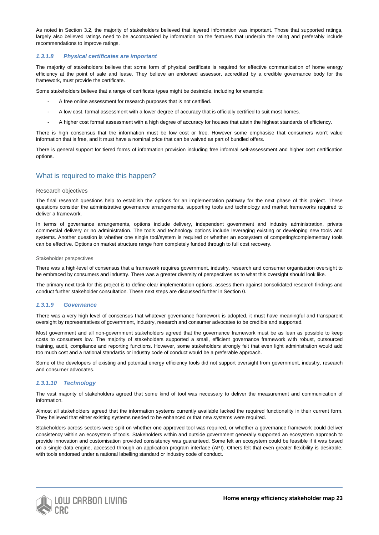As noted in Section [3.2,](#page-16-0) the majority of stakeholders believed that layered information was important. Those that supported ratings, largely also believed ratings need to be accompanied by information on the features that underpin the rating and preferably include recommendations to improve ratings.

#### *1.3.1.8 Physical certificates are important*

The majority of stakeholders believe that some form of physical certificate is required for effective communication of home energy efficiency at the point of sale and lease. They believe an endorsed assessor, accredited by a credible governance body for the framework, must provide the certificate.

Some stakeholders believe that a range of certificate types might be desirable, including for example:

- A free online assessment for research purposes that is not certified.
- A low cost, formal assessment with a lower degree of accuracy that is officially certified to suit most homes.
- A higher cost formal assessment with a high degree of accuracy for houses that attain the highest standards of efficiency.

There is high consensus that the information must be low cost or free. However some emphasise that consumers won't value information that is free, and it must have a nominal price that can be waived as part of bundled offers.

There is general support for tiered forms of information provision including free informal self-assessment and higher cost certification options.

### <span id="page-22-0"></span>What is required to make this happen?

#### Research objectives

The final research questions help to establish the options for an implementation pathway for the next phase of this project. These questions consider the administrative governance arrangements, supporting tools and technology and market frameworks required to deliver a framework.

In terms of governance arrangements, options include delivery, independent government and industry administration, private commercial delivery or no administration. The tools and technology options include leveraging existing or developing new tools and systems. Another question is whether one single tool/system is required or whether an ecosystem of competing/complementary tools can be effective. Options on market structure range from completely funded through to full cost recovery.

#### Stakeholder perspectives

There was a high-level of consensus that a framework requires government, industry, research and consumer organisation oversight to be embraced by consumers and industry. There was a greater diversity of perspectives as to what this oversight should look like.

The primary next task for this project is to define clear implementation options, assess them against consolidated research findings and conduct further stakeholder consultation. These next steps are discussed further in Sectio[n 0.](#page-24-0)

#### *1.3.1.9 Governance*

There was a very high level of consensus that whatever governance framework is adopted, it must have meaningful and transparent oversight by representatives of government, industry, research and consumer advocates to be credible and supported.

Most government and all non-government stakeholders agreed that the governance framework must be as lean as possible to keep costs to consumers low. The majority of stakeholders supported a small, efficient governance framework with robust, outsourced training, audit, compliance and reporting functions. However, some stakeholders strongly felt that even light administration would add too much cost and a national standards or industry code of conduct would be a preferable approach.

Some of the developers of existing and potential energy efficiency tools did not support oversight from government, industry, research and consumer advocates.

#### *1.3.1.10 Technology*

The vast majority of stakeholders agreed that some kind of tool was necessary to deliver the measurement and communication of information.

Almost all stakeholders agreed that the information systems currently available lacked the required functionality in their current form. They believed that either existing systems needed to be enhanced or that new systems were required.

Stakeholders across sectors were split on whether one approved tool was required, or whether a governance framework could deliver consistency within an ecosystem of tools. Stakeholders within and outside government generally supported an ecosystem approach to provide innovation and customisation provided consistency was guaranteed. Some felt an ecosystem could be feasible if it was based on a single data engine, accessed through an application program interface (API). Others felt that even greater flexibility is desirable, with tools endorsed under a national labelling standard or industry code of conduct.

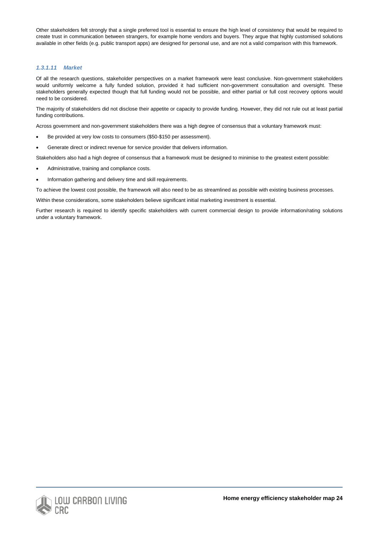Other stakeholders felt strongly that a single preferred tool is essential to ensure the high level of consistency that would be required to create trust in communication between strangers, for example home vendors and buyers. They argue that highly customised solutions available in other fields (e.g. public transport apps) are designed for personal use, and are not a valid comparison with this framework.

### *1.3.1.11 Market*

Of all the research questions, stakeholder perspectives on a market framework were least conclusive. Non-government stakeholders would uniformly welcome a fully funded solution, provided it had sufficient non-government consultation and oversight. These stakeholders generally expected though that full funding would not be possible, and either partial or full cost recovery options would need to be considered.

The majority of stakeholders did not disclose their appetite or capacity to provide funding. However, they did not rule out at least partial funding contributions.

Across government and non-government stakeholders there was a high degree of consensus that a voluntary framework must:

- Be provided at very low costs to consumers (\$50-\$150 per assessment).
- Generate direct or indirect revenue for service provider that delivers information.

Stakeholders also had a high degree of consensus that a framework must be designed to minimise to the greatest extent possible:

- Administrative, training and compliance costs.
- Information gathering and delivery time and skill requirements.

To achieve the lowest cost possible, the framework will also need to be as streamlined as possible with existing business processes.

Within these considerations, some stakeholders believe significant initial marketing investment is essential.

Further research is required to identify specific stakeholders with current commercial design to provide information/rating solutions under a voluntary framework.